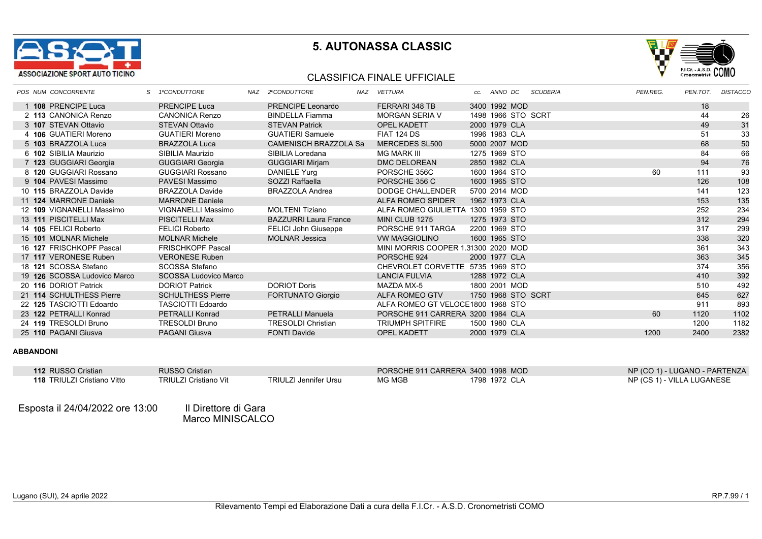



#### CLASSIFICA FINALE UFFICIALE

|  | POS NUM CONCORRENTE          | S 1ºCONDUTTORE               | NAZ 2ºCONDUTTORE             | NAZ VETTURA                         | cc. ANNO DC        | <b>SCUDERIA</b> | PEN.REG. | PEN.TOT. | <b>DISTACCC</b> |
|--|------------------------------|------------------------------|------------------------------|-------------------------------------|--------------------|-----------------|----------|----------|-----------------|
|  | 1 108 PRENCIPE Luca          | <b>PRENCIPE Luca</b>         | <b>PRENCIPE Leonardo</b>     | FERRARI 348 TB                      | 3400 1992 MOD      |                 |          | 18       |                 |
|  | 2 113 CANONICA Renzo         | <b>CANONICA Renzo</b>        | <b>BINDELLA Fiamma</b>       | MORGAN SERIA V                      | 1498 1966 STO SCRT |                 |          | 44       | 26              |
|  | 3 107 STEVAN Ottavio         | <b>STEVAN Ottavio</b>        | <b>STEVAN Patrick</b>        | <b>OPEL KADETT</b>                  | 2000 1979 CLA      |                 |          | 49       | 31              |
|  | 4 106 GUATIERI Moreno        | <b>GUATIERI Moreno</b>       | <b>GUATIERI Samuele</b>      | FIAT 124 DS                         | 1996 1983 CLA      |                 |          | 51       | 33              |
|  | 5 103 BRAZZOLA Luca          | <b>BRAZZOLA Luca</b>         | <b>CAMENISCH BRAZZOLA Sa</b> | MERCEDES SL500                      | 5000 2007 MOD      |                 |          | 68       | 50              |
|  | 6 102 SIBILIA Maurizio       | SIBILIA Maurizio             | SIBILIA Loredana             | <b>MG MARK III</b>                  | 1275 1969 STO      |                 |          | 84       | 66              |
|  | 7 123 GUGGIARI Georgia       | <b>GUGGIARI Georgia</b>      | <b>GUGGIARI Mirjam</b>       | <b>DMC DELOREAN</b>                 | 2850 1982 CLA      |                 |          | 94       | 76              |
|  | 8 120 GUGGIARI Rossano       | <b>GUGGIARI Rossano</b>      | DANIELE Yurg                 | PORSCHE 356C                        | 1600 1964 STO      |                 | 60       | 111      | 93              |
|  | 9 104 PAVESI Massimo         | PAVESI Massimo               | SOZZI Raffaella              | PORSCHE 356 C                       | 1600 1965 STO      |                 |          | 126      | 108             |
|  | 10 115 BRAZZOLA Davide       | <b>BRAZZOLA Davide</b>       | <b>BRAZZOLA Andrea</b>       | DODGE CHALLENDER                    | 5700 2014 MOD      |                 |          | 141      | 123             |
|  | 11 124 MARRONE Daniele       | <b>MARRONE Daniele</b>       |                              | ALFA ROMEO SPIDER                   | 1962 1973 CLA      |                 |          | 153      | 135             |
|  | 12 109 VIGNANELLI Massimo    | VIGNANELLI Massimo           | <b>MOLTENI Tiziano</b>       | ALFA ROMEO GIULIETTA 1300 1959 STO  |                    |                 |          | 252      | 234             |
|  | 13 111 PISCITELLI Max        | <b>PISCITELLI Max</b>        | <b>BAZZURRI Laura France</b> | MINI CLUB 1275                      | 1275 1973 STO      |                 |          | 312      | 294             |
|  | 14 105 FELICI Roberto        | <b>FELICI Roberto</b>        | <b>FELICI John Giuseppe</b>  | PORSCHE 911 TARGA                   | 2200 1969 STO      |                 |          | 317      | 299             |
|  | 15 101 MOLNAR Michele        | <b>MOLNAR Michele</b>        | <b>MOLNAR Jessica</b>        | <b>VW MAGGIOLINO</b>                | 1600 1965 STO      |                 |          | 338      | 320             |
|  | 16 127 FRISCHKOPF Pascal     | <b>FRISCHKOPF Pascal</b>     |                              | MINI MORRIS COOPER 1.31300 2020 MOD |                    |                 |          | 361      | 343             |
|  | 17 117 VERONESE Ruben        | <b>VERONESE Ruben</b>        |                              | PORSCHE 924                         | 2000 1977 CLA      |                 |          | 363      | 345             |
|  | 18 121 SCOSSA Stefano        | SCOSSA Stefano               |                              | CHEVROLET CORVETTE 5735 1969 STO    |                    |                 |          | 374      | 356             |
|  | 19 126 SCOSSA Ludovico Marco | <b>SCOSSA Ludovico Marco</b> |                              | <b>LANCIA FULVIA</b>                | 1288 1972 CLA      |                 |          | 410      | 392             |
|  | 20 116 DORIOT Patrick        | <b>DORIOT Patrick</b>        | <b>DORIOT Doris</b>          | MAZDA MX-5                          | 1800 2001 MOD      |                 |          | 510      | 492             |
|  | 21 114 SCHULTHESS Pierre     | <b>SCHULTHESS Pierre</b>     | <b>FORTUNATO Giorgio</b>     | ALFA ROMEO GTV                      | 1750 1968 STO SCRT |                 |          | 645      | 627             |
|  | 22 125 TASCIOTTI Edoardo     | TASCIOTTI Edoardo            |                              | ALFA ROMEO GT VELOCE1800 1968 STO   |                    |                 |          | 911      | 893             |
|  | 23 122 PETRALLI Konrad       | <b>PETRALLI Konrad</b>       | <b>PETRALLI Manuela</b>      | PORSCHE 911 CARRERA 3200 1984 CLA   |                    |                 | 60       | 1120     | 1102            |
|  | 24 119 TRESOLDI Bruno        | <b>TRESOLDI Bruno</b>        | <b>TRESOLDI Christian</b>    | <b>TRIUMPH SPITFIRE</b>             | 1500 1980 CLA      |                 |          | 1200     | 1182            |
|  | 25 110 PAGANI Giusva         | PAGANI Giusva                | <b>FONTI Davide</b>          | <b>OPEL KADETT</b>                  | 2000 1979 CLA      |                 | 1200     | 2400     | 2382            |

#### **ABBANDONI**

| 112 RUSSO Cristian                 | <b>RUSSO Cristian</b> |                       |        | PORSCHE 911 CARRERA 3400 1998 MOD | NP (CO 1) - LUGANO - PARTENZA |
|------------------------------------|-----------------------|-----------------------|--------|-----------------------------------|-------------------------------|
| <b>118 TRIULZI Cristiano Vitto</b> | TRIULZI Cristiano Vit | TRIULZI Jennifer Ursu | MG MGB | 1798 1972 CLA                     | NP (CS 1) - VILLA LUGANESE    |
|                                    |                       |                       |        |                                   |                               |

Esposta il 24/04/2022 ore 13:00 Il Direttore di Gara

Marco MINISCALCO **M**arco MINISCALCO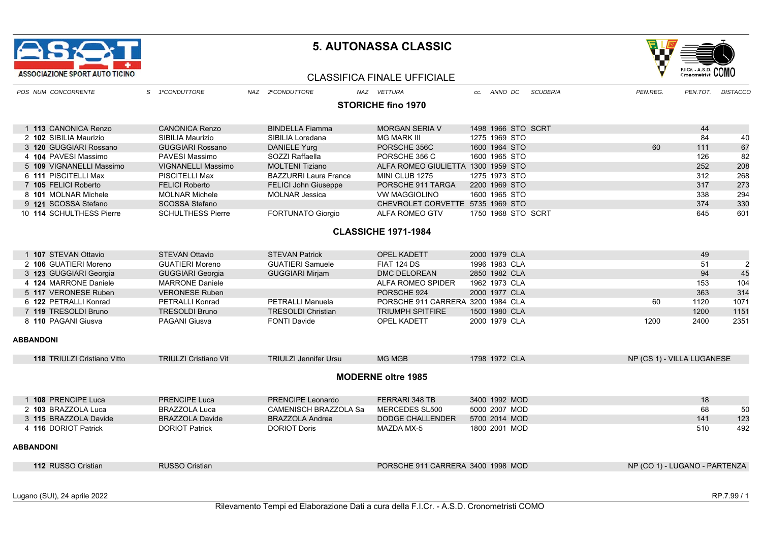



#### CLASSIFICA FINALE UFFICIALE

| POS NUM CONCORRENTE         | S 1ºCONDUTTORE               | NAZ 2ºCONDUTTORE             | NAZ VETTURA                        | ANNO DC<br>CC.     | PEN.REG.<br><b>SCUDERIA</b> | PEN.TOT.                      | <b>DISTACCC</b> |
|-----------------------------|------------------------------|------------------------------|------------------------------------|--------------------|-----------------------------|-------------------------------|-----------------|
|                             |                              |                              | <b>STORICHE fino 1970</b>          |                    |                             |                               |                 |
|                             |                              |                              |                                    |                    |                             |                               |                 |
| 1 113 CANONICA Renzo        | <b>CANONICA Renzo</b>        | <b>BINDELLA Fiamma</b>       | <b>MORGAN SERIA V</b>              | 1498 1966 STO SCRT |                             | 44                            |                 |
| 2 102 SIBILIA Maurizio      | SIBILIA Maurizio             | SIBILIA Loredana             | <b>MG MARK III</b>                 | 1275 1969 STO      |                             | 84                            | 40              |
| 3 120 GUGGIARI Rossano      | <b>GUGGIARI Rossano</b>      | <b>DANIELE Yurg</b>          | PORSCHE 356C                       | 1600 1964 STO      | 60                          | 111                           | 67              |
| 4 104 PAVESI Massimo        | PAVESI Massimo               | SOZZI Raffaella              | PORSCHE 356 C                      | 1600 1965 STO      |                             | 126                           | 82              |
| 5 109 VIGNANELLI Massimo    | <b>VIGNANELLI Massimo</b>    | <b>MOLTENI Tiziano</b>       | ALFA ROMEO GIULIETTA 1300 1959 STO |                    |                             | 252                           | 208             |
| 6 111 PISCITELLI Max        | <b>PISCITELLI Max</b>        | <b>BAZZURRI Laura France</b> | MINI CLUB 1275                     | 1275 1973 STO      |                             | 312                           | 268             |
| 7 105 FELICI Roberto        | <b>FELICI Roberto</b>        | <b>FELICI John Giuseppe</b>  | PORSCHE 911 TARGA                  | 2200 1969 STO      |                             | 317                           | 273             |
| 8 101 MOLNAR Michele        | <b>MOLNAR Michele</b>        | <b>MOLNAR Jessica</b>        | <b>VW MAGGIOLINO</b>               | 1600 1965 STO      |                             | 338                           | 294             |
| 9 121 SCOSSA Stefano        | <b>SCOSSA Stefano</b>        |                              | CHEVROLET CORVETTE 5735 1969 STO   |                    |                             | 374                           | 330             |
| 10 114 SCHULTHESS Pierre    | <b>SCHULTHESS Pierre</b>     | <b>FORTUNATO Giorgio</b>     | ALFA ROMEO GTV                     | 1750 1968 STO SCRT |                             | 645                           | 601             |
|                             |                              |                              | <b>CLASSICHE 1971-1984</b>         |                    |                             |                               |                 |
|                             |                              |                              |                                    |                    |                             |                               |                 |
| 1 107 STEVAN Ottavio        | <b>STEVAN Ottavio</b>        | <b>STEVAN Patrick</b>        | <b>OPEL KADETT</b>                 | 2000 1979 CLA      |                             | 49                            |                 |
| 2 106 GUATIERI Moreno       | <b>GUATIERI Moreno</b>       | <b>GUATIERI Samuele</b>      | <b>FIAT 124 DS</b>                 | 1996 1983 CLA      |                             | 51                            | $\overline{2}$  |
| 3 123 GUGGIARI Georgia      | <b>GUGGIARI Georgia</b>      | <b>GUGGIARI Mirjam</b>       | <b>DMC DELOREAN</b>                | 2850 1982 CLA      |                             | 94                            | 45              |
| 4 124 MARRONE Daniele       | <b>MARRONE Daniele</b>       |                              | ALFA ROMEO SPIDER                  | 1962 1973 CLA      |                             | 153                           | 104             |
| 5 117 VERONESE Ruben        | <b>VERONESE Ruben</b>        |                              | PORSCHE 924                        | 2000 1977 CLA      |                             | 363                           | 314             |
| 6 122 PETRALLI Konrad       | <b>PETRALLI Konrad</b>       | <b>PETRALLI Manuela</b>      | PORSCHE 911 CARRERA 3200 1984 CLA  |                    | 60                          | 1120                          | 1071            |
| 7 119 TRESOLDI Bruno        | <b>TRESOLDI Bruno</b>        | <b>TRESOLDI Christian</b>    | <b>TRIUMPH SPITFIRE</b>            | 1500 1980 CLA      |                             | 1200                          | 1151            |
| 8 110 PAGANI Giusva         | <b>PAGANI Giusva</b>         | <b>FONTI Davide</b>          | OPEL KADETT                        | 2000 1979 CLA      | 1200                        | 2400                          | 2351            |
| <b>ABBANDONI</b>            |                              |                              |                                    |                    |                             |                               |                 |
|                             |                              |                              |                                    |                    |                             |                               |                 |
| 118 TRIULZI Cristiano Vitto | <b>TRIULZI Cristiano Vit</b> | <b>TRIULZI Jennifer Ursu</b> | <b>MG MGB</b>                      | 1798 1972 CLA      |                             | NP (CS 1) - VILLA LUGANESE    |                 |
|                             |                              |                              | <b>MODERNE oltre 1985</b>          |                    |                             |                               |                 |
|                             |                              |                              |                                    |                    |                             |                               |                 |
| 1 108 PRENCIPE Luca         | <b>PRENCIPE Luca</b>         | PRENCIPE Leonardo            | FERRARI 348 TB                     | 3400 1992 MOD      |                             | 18                            |                 |
| 2 103 BRAZZOLA Luca         | <b>BRAZZOLA Luca</b>         | <b>CAMENISCH BRAZZOLA Sa</b> | MERCEDES SL500                     | 5000 2007 MOD      |                             | 68                            | 50              |
| 3 115 BRAZZOLA Davide       | <b>BRAZZOLA Davide</b>       | <b>BRAZZOLA Andrea</b>       | <b>DODGE CHALLENDER</b>            | 5700 2014 MOD      |                             | 141                           | 123             |
| 4 116 DORIOT Patrick        | <b>DORIOT Patrick</b>        | <b>DORIOT Doris</b>          | <b>MAZDA MX-5</b>                  | 1800 2001 MOD      |                             | 510                           | 492             |
| <b>ABBANDONI</b>            |                              |                              |                                    |                    |                             |                               |                 |
|                             |                              |                              |                                    |                    |                             |                               |                 |
| 112 RUSSO Cristian          | <b>RUSSO Cristian</b>        |                              | PORSCHE 911 CARRERA 3400 1998 MOD  |                    |                             | NP (CO 1) - LUGANO - PARTENZA |                 |
|                             |                              |                              |                                    |                    |                             |                               |                 |

Lugano (SUI), 24 aprile 2022 RP.7.99 / 1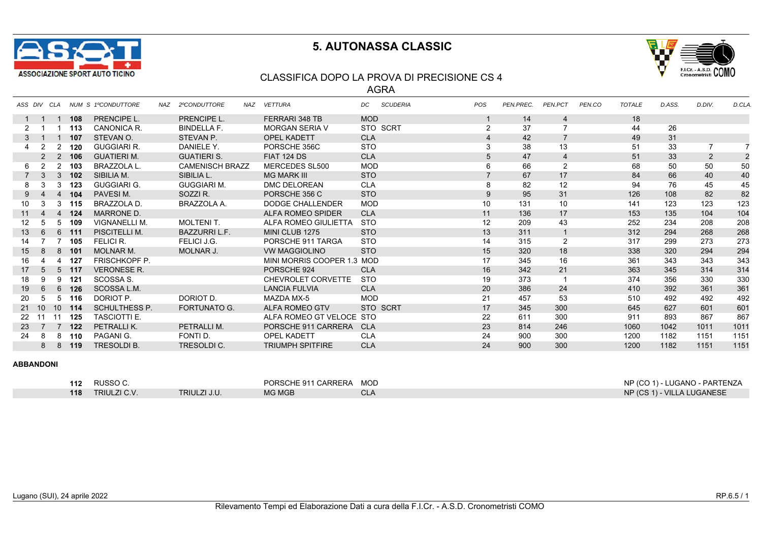



#### CLASSIFICA DOPO LA PROVA DI PRECISIONE CS 4

AGRA

|                 | ASS DIV CLA     |                |       | NUM S 1ºCONDUTTORE    | NAZ | 2ºCONDUTTORE           | NAZ | <b>VETTURA</b>             | DC         | <b>SCUDERIA</b> | POS             | PEN.PREC. | PEN.PCT        | PEN.CO | <b>TOTALE</b> | D.ASS. | D.DIV. | D.CLA |
|-----------------|-----------------|----------------|-------|-----------------------|-----|------------------------|-----|----------------------------|------------|-----------------|-----------------|-----------|----------------|--------|---------------|--------|--------|-------|
|                 |                 |                | 108   | <b>PRENCIPE L.</b>    |     | <b>PRENCIPE L.</b>     |     | FERRARI 348 TB             | <b>MOD</b> |                 |                 | 14        | 4              |        | 18            |        |        |       |
| 2               |                 |                | 113   | CANONICA R.           |     | <b>BINDELLA F.</b>     |     | <b>MORGAN SERIA V</b>      |            | STO SCRT        | $\overline{2}$  | 37        | $\overline{7}$ |        | 44            | 26     |        |       |
| 3               |                 |                | 107   | STEVAN O.             |     | STEVAN P.              |     | <b>OPEL KADETT</b>         | <b>CLA</b> |                 | $\overline{4}$  | 42        |                |        | 49            | 31     |        |       |
|                 | 2               | 2              | 120   | <b>GUGGIARI R.</b>    |     | DANIELE Y.             |     | PORSCHE 356C               | <b>STO</b> |                 | 3               | 38        | 13             |        | 51            | 33     |        |       |
|                 | $\overline{2}$  | 2              | 106   | <b>GUATIERI M.</b>    |     | <b>GUATIERI S.</b>     |     | <b>FIAT 124 DS</b>         | <b>CLA</b> |                 | 5               | 47        | 4              |        | 51            | 33     |        | 2     |
| 6               | $\overline{2}$  | $\overline{2}$ | 103   | BRAZZOLA L.           |     | <b>CAMENISCH BRAZZ</b> |     | MERCEDES SL500             | <b>MOD</b> |                 | 6               | 66        | $\overline{2}$ |        | 68            | 50     | 50     | 50    |
|                 | - 3             | 3              | 102   | SIBILIA M.            |     | SIBILIA L.             |     | <b>MG MARK III</b>         | <b>STO</b> |                 |                 | 67        | 17             |        | 84            | 66     | 40     | 40    |
| 8               |                 | 3              | 123   | <b>GUGGIARI G.</b>    |     | <b>GUGGIARI M.</b>     |     | DMC DELOREAN               | <b>CLA</b> |                 | 8               | 82        | 12             |        | 94            | 76     | 45     | 45    |
| 9               |                 | 4              | 104   | PAVESIM.              |     | SOZZI R.               |     | PORSCHE 356 C              | <b>STO</b> |                 | 9               | 95        | 31             |        | 126           | 108    | 82     | 82    |
| 10              | 3               | 3              | 115   | BRAZZOLA D.           |     | BRAZZOLA A.            |     | DODGE CHALLENDER           | <b>MOD</b> |                 | 10 <sup>1</sup> | 131       | 10             |        | 141           | 123    | 123    | 123   |
| 11              | $\overline{4}$  |                | 4 124 | <b>MARRONE D.</b>     |     |                        |     | ALFA ROMEO SPIDER          | <b>CLA</b> |                 | 11              | 136       | 17             |        | 153           | 135    | 104    | 104   |
| 12 <sup>°</sup> | 5               | 5              | 109   | <b>VIGNANELLI M.</b>  |     | <b>MOLTENIT.</b>       |     | ALFA ROMEO GIULIETTA       | <b>STO</b> |                 | 12              | 209       | 43             |        | 252           | 234    | 208    | 208   |
| 13              | 6               | 6              | 111   | PISCITELLI M.         |     | <b>BAZZURRI L.F.</b>   |     | MINI CLUB 1275             | <b>STO</b> |                 | 13              | 311       | $\mathbf{1}$   |        | 312           | 294    | 268    | 268   |
| 14              |                 |                | 105   | <b>FELICI R.</b>      |     | FELICI J.G.            |     | PORSCHE 911 TARGA          | <b>STO</b> |                 | 14              | 315       | 2              |        | 317           | 299    | 273    | 273   |
| 15              | 8               | 8              | - 101 | <b>MOLNAR M.</b>      |     | MOLNAR J.              |     | <b>VW MAGGIOLINO</b>       | <b>STO</b> |                 | 15              | 320       | 18             |        | 338           | 320    | 294    | 294   |
| 16              |                 |                | 127   | <b>FRISCHKOPF P.</b>  |     |                        |     | MINI MORRIS COOPER 1.3 MOD |            |                 | 17              | 345       | 16             |        | 361           | 343    | 343    | 343   |
| 17              | 5               | 5              | 117   | <b>VERONESE R.</b>    |     |                        |     | PORSCHE 924                | <b>CLA</b> |                 | 16              | 342       | 21             |        | 363           | 345    | 314    | 314   |
| 18              | 9               | 9              | 121   | SCOSSA <sub>S</sub> . |     |                        |     | CHEVROLET CORVETTE         | <b>STO</b> |                 | 19              | 373       |                |        | 374           | 356    | 330    | 330   |
| 19              | 6               | 6              | 126   | SCOSSA L.M.           |     |                        |     | <b>LANCIA FULVIA</b>       | <b>CLA</b> |                 | 20              | 386       | 24             |        | 410           | 392    | 361    | 361   |
| 20              | 5               | 5              | 116   | DORIOT P.             |     | DORIOT D.              |     | <b>MAZDA MX-5</b>          | <b>MOD</b> |                 | 21              | 457       | 53             |        | 510           | 492    | 492    | 492   |
| 21              | 10 <sup>°</sup> | 10             | 114   | <b>SCHULTHESS P.</b>  |     | <b>FORTUNATO G.</b>    |     | ALFA ROMEO GTV             |            | STO SCRT        | 17              | 345       | 300            |        | 645           | 627    | 601    | 601   |
| 22              |                 | 11             | 125   | <b>TASCIOTTI E.</b>   |     |                        |     | ALFA ROMEO GT VELOCE STO   |            |                 | 22              | 611       | 300            |        | 911           | 893    | 867    | 867   |
| 23              | $\overline{7}$  |                | 122   | PETRALLIK.            |     | PETRALLI M.            |     | PORSCHE 911 CARRERA        | <b>CLA</b> |                 | 23              | 814       | 246            |        | 1060          | 1042   | 1011   | 1011  |
| 24              | 8               | 8              | 110   | PAGANI G.             |     | FONTI D.               |     | <b>OPEL KADETT</b>         | <b>CLA</b> |                 | 24              | 900       | 300            |        | 1200          | 1182   | 1151   | 1151  |
|                 | 8               | 8              | 119   | <b>TRESOLDI B.</b>    |     | TRESOLDI C.            |     | <b>TRIUMPH SPITFIRE</b>    | <b>CLA</b> |                 | 24              | 900       | 300            |        | 1200          | 1182   | 1151   | 1151  |

| 112 | RUSSO C.            |              | PORSCHE 911 CARRERA | <b>MOD</b>    | NP (CO 1) - LUGANO - PARTENZA |
|-----|---------------------|--------------|---------------------|---------------|-------------------------------|
| 118 | <b>TRIULZI C.V.</b> | TRIULZI J.U. | <b>MG MGB</b>       | $\sim$<br>ັບພ | NP (CS 1) - VILLA LUGANESE    |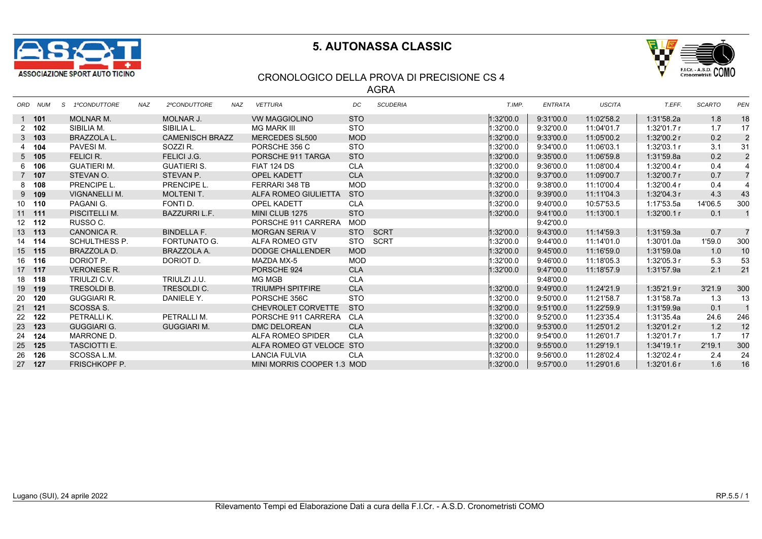



#### CRONOLOGICO DELLA PROVA DI PRECISIONE CS 4

AGRA

| ORD NUM       | 1ºCONDUTTORE<br>S    | <b>NAZ</b> | 2ºCONDUTTORE           | <b>NAZ</b> | <b>VETTURA</b>             | DC         | <b>SCUDERIA</b> | T.IMP.    | ENTRATA   | <b>USCITA</b> | T.EFF.      | <b>SCARTO</b> | PEN            |
|---------------|----------------------|------------|------------------------|------------|----------------------------|------------|-----------------|-----------|-----------|---------------|-------------|---------------|----------------|
| $1$ 101       | <b>MOLNAR M.</b>     |            | MOLNAR J.              |            | <b>VW MAGGIOLINO</b>       | <b>STO</b> |                 | 1:32'00.0 | 9:31'00.0 | 11:02'58.2    | 1:31'58.2a  | 1.8           | 18             |
| $2 \quad 102$ | SIBILIA M.           |            | SIBILIA L.             |            | <b>MG MARK III</b>         | <b>STO</b> |                 | 1:32'00.0 | 9:32'00.0 | 11:04'01.7    | 1:32'01.7 r | 1.7           | 17             |
| $3$ 103       | BRAZZOLA L.          |            | <b>CAMENISCH BRAZZ</b> |            | <b>MERCEDES SL500</b>      | <b>MOD</b> |                 | 1:32'00.0 | 9:33'00.0 | 11:05'00.2    | 1:32'00.2 r | 0.2           | $\overline{2}$ |
| 4 104         | PAVESIM.             |            | SOZZI R.               |            | PORSCHE 356 C              | <b>STO</b> |                 | 1:32'00.0 | 9:34'00.0 | 11:06'03.1    | 1:32'03.1r  | 3.1           | 31             |
| $5$ 105       | FELICI R.            |            | FELICI J.G.            |            | PORSCHE 911 TARGA          | <b>STO</b> |                 | 1:32'00.0 | 9:35'00.0 | 11:06'59.8    | 1:31'59.8a  | 0.2           | $\overline{2}$ |
| 6 106         | <b>GUATIERI M.</b>   |            | <b>GUATIERI S.</b>     |            | FIAT 124 DS                | <b>CLA</b> |                 | 1:32'00.0 | 9:36'00.0 | 11:08'00.4    | 1:32'00.4 r | 0.4           |                |
| 7 107         | STEVAN O.            |            | STEVAN P.              |            | <b>OPEL KADETT</b>         | <b>CLA</b> |                 | 1:32'00.0 | 9:37'00.0 | 11:09'00.7    | 1:32'00.7 r | 0.7           | $\overline{7}$ |
| 8 108         | PRENCIPE L.          |            | PRENCIPE L.            |            | FERRARI 348 TB             | <b>MOD</b> |                 | 1:32'00.0 | 9:38'00.0 | 11:10'00.4    | 1:32'00.4r  | 0.4           | 4              |
| $9$ 109       | VIGNANELLI M.        |            | <b>MOLTENIT.</b>       |            | ALFA ROMEO GIULIETTA       | <b>STO</b> |                 | 1:32'00.0 | 9:39'00.0 | 11:11'04.3    | 1:32'04.3r  | 4.3           | 43             |
| 10 110        | PAGANI G.            |            | FONTI D.               |            | <b>OPEL KADETT</b>         | <b>CLA</b> |                 | 1:32'00.0 | 9:40'00.0 | 10:57'53.5    | 1:17'53.5a  | 14'06.5       | 300            |
| $11$ 111      | PISCITELLI M.        |            | <b>BAZZURRI L.F.</b>   |            | MINI CLUB 1275             | <b>STO</b> |                 | 1:32'00.0 | 9:41'00.0 | 11:13'00.1    | 1:32'00.1r  | 0.1           | $\mathbf{1}$   |
| 12 112        | RUSSO C.             |            |                        |            | PORSCHE 911 CARRERA        | MOD        |                 |           | 9:42'00.0 |               |             |               |                |
| 13 113        | CANONICA R.          |            | <b>BINDELLA F.</b>     |            | <b>MORGAN SERIA V</b>      | <b>STO</b> | SCRT            | 1:32'00.0 | 9:43'00.0 | 11:14'59.3    | 1:31'59.3a  | 0.7           | 7              |
| 14 114        | SCHULTHESS P.        |            | <b>FORTUNATO G.</b>    |            | ALFA ROMEO GTV             |            | STO SCRT        | 1:32'00.0 | 9:44'00.0 | 11:14'01.0    | 1:30'01.0a  | 1'59.0        | 300            |
| 15 115        | BRAZZOLA D.          |            | BRAZZOLA A.            |            | <b>DODGE CHALLENDER</b>    | <b>MOD</b> |                 | 1:32'00.0 | 9:45'00.0 | 11:16'59.0    | 1:31'59.0a  | 1.0           | 10             |
| 16 116        | DORIOT P.            |            | DORIOT D.              |            | MAZDA MX-5                 | <b>MOD</b> |                 | 1:32'00.0 | 9:46'00.0 | 11:18'05.3    | 1:32'05.3r  | 5.3           | 53             |
| 17 117        | <b>VERONESE R.</b>   |            |                        |            | PORSCHE 924                | <b>CLA</b> |                 | 1:32'00.0 | 9:47'00.0 | 11:18'57.9    | 1:31'57.9a  | 2.1           | 21             |
| 18 118        | TRIULZI C.V.         |            | TRIULZI J.U.           |            | MG MGB                     | <b>CLA</b> |                 |           | 9:48'00.0 |               |             |               |                |
| 19 119        | <b>TRESOLDI B.</b>   |            | <b>TRESOLDIC.</b>      |            | <b>TRIUMPH SPITFIRE</b>    | <b>CLA</b> |                 | 1:32'00.0 | 9:49'00.0 | 11:24'21.9    | 1:35'21.9r  | 3'21.9        | 300            |
| 20 120        | <b>GUGGIARI R.</b>   |            | DANIELE Y.             |            | PORSCHE 356C               | <b>STO</b> |                 | 1:32'00.0 | 9:50'00.0 | 11:21'58.7    | 1:31'58.7a  | 1.3           | 13             |
| 21 121        | SCOSSA S.            |            |                        |            | CHEVROLET CORVETTE         | <b>STO</b> |                 | 1:32'00.0 | 9:51'00.0 | 11:22'59.9    | 1:31'59.9a  | 0.1           | $\overline{1}$ |
| 22 122        | PETRALLIK.           |            | PETRALLI M.            |            | PORSCHE 911 CARRERA        | CLA        |                 | 1:32'00.0 | 9:52'00.0 | 11:23'35.4    | 1:31'35.4a  | 24.6          | 246            |
| 23 123        | <b>GUGGIARI G.</b>   |            | <b>GUGGIARI M.</b>     |            | <b>DMC DELOREAN</b>        | <b>CLA</b> |                 | 1:32'00.0 | 9:53'00.0 | 11:25'01.2    | 1:32'01.2 r | 1.2           | 12             |
| 24 124        | MARRONE D.           |            |                        |            | ALFA ROMEO SPIDER          | <b>CLA</b> |                 | 1:32'00.0 | 9:54'00.0 | 11:26'01.7    | 1:32'01.7r  | 1.7           | 17             |
| 25 125        | <b>TASCIOTTI E.</b>  |            |                        |            | ALFA ROMEO GT VELOCE STO   |            |                 | 1:32'00.0 | 9:55'00.0 | 11:29'19.1    | 1:34'19.1r  | 2'19.1        | 300            |
| 26 126        | SCOSSA L.M.          |            |                        |            | <b>LANCIA FULVIA</b>       | <b>CLA</b> |                 | 1:32'00.0 | 9:56'00.0 | 11:28'02.4    | 1:32'02.4 r | 2.4           | 24             |
| 27 127        | <b>FRISCHKOPF P.</b> |            |                        |            | MINI MORRIS COOPER 1.3 MOD |            |                 | 1:32'00.0 | 9:57'00.0 | 11:29'01.6    | 1:32'01.6r  | 1.6           | 16             |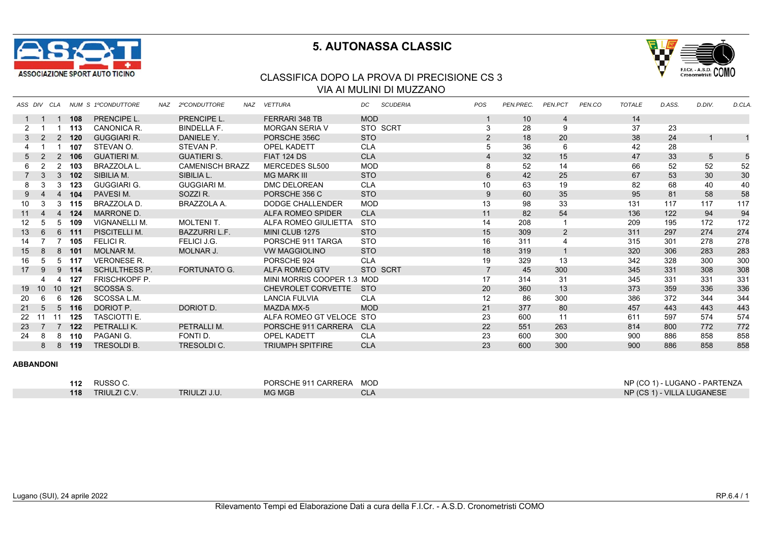



### CLASSIFICA DOPO LA PROVA DI PRECISIONE CS 3 VIA AI MULINI DI MUZZANO

|                 | ASS DIV CLA    |                |       | <b>NUM S 1ºCONDUTTORE</b> | NAZ | 2ºCONDUTTORE           | NAZ | <b>VETTURA</b>             | DC         | <b>SCUDERIA</b> | <b>POS</b>      | PEN.PREC. | PEN.PCT        | PEN.CO | <b>TOTALE</b> | D.ASS. | D.DIV. | D.CLA. |
|-----------------|----------------|----------------|-------|---------------------------|-----|------------------------|-----|----------------------------|------------|-----------------|-----------------|-----------|----------------|--------|---------------|--------|--------|--------|
|                 |                |                | 108   | PRENCIPE L.               |     | PRENCIPE L.            |     | FERRARI 348 TB             | <b>MOD</b> |                 |                 | 10        | 4              |        | 14            |        |        |        |
| 2               |                |                | 113   | CANONICA R.               |     | <b>BINDELLA F.</b>     |     | <b>MORGAN SERIA V</b>      |            | STO SCRT        | 3               | 28        | 9              |        | 37            | 23     |        |        |
| 3               |                |                | 2 120 | <b>GUGGIARI R.</b>        |     | DANIELE Y.             |     | PORSCHE 356C               | <b>STO</b> |                 | 2               | 18        | 20             |        | 38            | 24     |        |        |
|                 |                |                | 107   | STEVAN O.                 |     | STEVAN P.              |     | <b>OPEL KADETT</b>         | <b>CLA</b> |                 | 5               | 36        | 6              |        | 42            | 28     |        |        |
| 5               |                | 2              | 106   | <b>GUATIERI M.</b>        |     | <b>GUATIERI S.</b>     |     | <b>FIAT 124 DS</b>         | <b>CLA</b> |                 |                 | 32        | 15             |        | 47            | 33     | 5      |        |
| 6               |                | 2              | 103   | BRAZZOLA L.               |     | <b>CAMENISCH BRAZZ</b> |     | MERCEDES SL500             | <b>MOD</b> |                 | 8               | 52        | 14             |        | 66            | 52     | 52     | 52     |
|                 | 3              | 3              | 102   | SIBILIA M.                |     | SIBILIA L.             |     | <b>MG MARK III</b>         | <b>STO</b> |                 | $6\phantom{1}6$ | 42        | 25             |        | 67            | 53     | 30     | 30     |
| 8               |                | 3              | 123   | <b>GUGGIARI G.</b>        |     | <b>GUGGIARI M.</b>     |     | <b>DMC DELOREAN</b>        | <b>CLA</b> |                 | 10              | 63        | 19             |        | 82            | 68     | 40     | 40     |
| 9               |                | $\overline{4}$ | 104   | PAVESIM.                  |     | SOZZIR.                |     | PORSCHE 356 C              | <b>STO</b> |                 | 9               | 60        | 35             |        | 95            | 81     | 58     | 58     |
| 10              |                | 3              | 115   | BRAZZOLA D.               |     | BRAZZOLA A.            |     | <b>DODGE CHALLENDER</b>    | <b>MOD</b> |                 | 13              | 98        | 33             |        | 131           | 117    | 117    | 117    |
| 11              | 4              | $\overline{4}$ | 124   | <b>MARRONE D.</b>         |     |                        |     | ALFA ROMEO SPIDER          | <b>CLA</b> |                 | 11              | 82        | 54             |        | 136           | 122    | 94     | 94     |
| 12 <sup>2</sup> | 5              | 5              | 109   | <b>VIGNANELLI M.</b>      |     | <b>MOLTENIT.</b>       |     | ALFA ROMEO GIULIETTA       | <b>STO</b> |                 | 14              | 208       |                |        | 209           | 195    | 172    | 172    |
| 13              | 6              | 6              | 111   | PISCITELLI M.             |     | <b>BAZZURRIL.F.</b>    |     | MINI CLUB 1275             | <b>STO</b> |                 | 15              | 309       | $\overline{2}$ |        | 311           | 297    | 274    | 274    |
| 14              |                |                | 105   | FELICI R.                 |     | FELICI J.G.            |     | PORSCHE 911 TARGA          | <b>STO</b> |                 | 16              | 311       |                |        | 315           | 301    | 278    | 278    |
| 15              | 8              |                | 8 101 | <b>MOLNAR M.</b>          |     | MOLNAR J.              |     | <b>VW MAGGIOLINO</b>       | <b>STO</b> |                 | 18              | 319       |                |        | 320           | 306    | 283    | 283    |
| 16              | 5              | 5              | 117   | <b>VERONESE R.</b>        |     |                        |     | PORSCHE 924                | <b>CLA</b> |                 | 19              | 329       | 13             |        | 342           | 328    | 300    | 300    |
| 17              | 9              | 9              | 114   | <b>SCHULTHESS P.</b>      |     | <b>FORTUNATO G.</b>    |     | ALFA ROMEO GTV             |            | STO SCRT        | $\overline{7}$  | 45        | 300            |        | 345           | 331    | 308    | 308    |
|                 |                |                | 127   | <b>FRISCHKOPF P.</b>      |     |                        |     | MINI MORRIS COOPER 1.3 MOD |            |                 | 17              | 314       | 31             |        | 345           | 331    | 331    | 331    |
| 19              | 10             | 10             | 121   | SCOSSA S.                 |     |                        |     | CHEVROLET CORVETTE         | <b>STO</b> |                 | 20              | 360       | 13             |        | 373           | 359    | 336    | 336    |
| 20              | 6              | 6              | 126   | SCOSSA L.M.               |     |                        |     | <b>LANCIA FULVIA</b>       | <b>CLA</b> |                 | 12              | 86        | 300            |        | 386           | 372    | 344    | 344    |
| 21              | 5              | $5^{\circ}$    | 116   | DORIOT P.                 |     | DORIOT D.              |     | MAZDA MX-5                 | <b>MOD</b> |                 | 21              | 377       | 80             |        | 457           | 443    | 443    | 443    |
| 22              |                | 11             | 125   | <b>TASCIOTTI E.</b>       |     |                        |     | ALFA ROMEO GT VELOCE STO   |            |                 | 23              | 600       | 11             |        | 611           | 597    | 574    | 574    |
| 23              | $\overline{7}$ |                | 122   | PETRALLIK.                |     | PETRALLI M.            |     | PORSCHE 911 CARRERA        | <b>CLA</b> |                 | 22              | 551       | 263            |        | 814           | 800    | 772    | 772    |
| 24              | 8              | 8              | 110   | PAGANI G.                 |     | FONTI D.               |     | <b>OPEL KADETT</b>         | <b>CLA</b> |                 | 23              | 600       | 300            |        | 900           | 886    | 858    | 858    |
|                 | 8              | 8              | 119   | <b>TRESOLDIB.</b>         |     | <b>TRESOLDIC.</b>      |     | <b>TRIUMPH SPITFIRE</b>    | <b>CLA</b> |                 | 23              | 600       | 300            |        | 900           | 886    | 858    | 858    |

| 112 | RUSSO C.            |              | PORSCHE 911 CARRERA | MOD | NP (CO 1) - LUGANO - PARTENZA |
|-----|---------------------|--------------|---------------------|-----|-------------------------------|
| 118 | <b>TRIULZI C.V.</b> | TRIULZI J.U. | MG MGB              | CL/ | NP (CS 1) - VILLA LUGANESE    |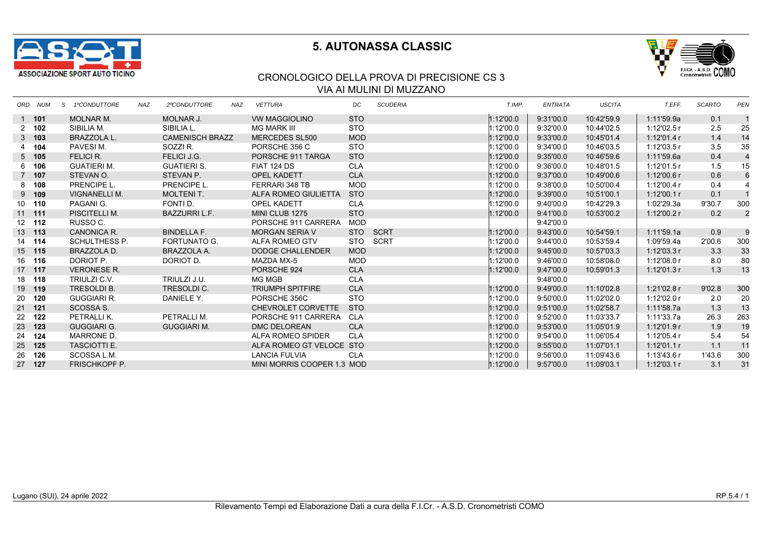



### CRONOLOGICO DELLA PROVA DI PRECISIONE CS 3 VIA AI MULINI DI MUZZANO

| ORD NUM  | S 1ºCONDUTTORE       | <b>NAZ</b> | 2ºCONDUTTORE         | NAZ | <b>VETTURA</b>            | DC         | <b>SCUDERIA</b>                                        | T.IMP.                 | ENTRATA   | <b>USCITA</b> | T.EFF.      | <b>SCARTO</b> | PEN            |
|----------|----------------------|------------|----------------------|-----|---------------------------|------------|--------------------------------------------------------|------------------------|-----------|---------------|-------------|---------------|----------------|
| 1 101    | <b>MOLNAR M.</b>     |            | <b>MOLNAR J.</b>     |     | <b>VW MAGGIOLINO</b>      | <b>STO</b> |                                                        | 1:12'00.0              | 9:31'00.0 | 10:42'59.9    | 1:11'59.9a  | 0.1           |                |
| 2, 102   | SIBILIA M.           |            | SIBILIA L.           |     | MG MARK III               | STO        |                                                        | 1:12'00.0              | 9:32'00.0 | 10:44'02.5    | 1:12'02.5 r | 2.5           | 25             |
| $3$ 103  | <b>BRAZZOLA L.</b>   |            |                      |     | <b>MERCEDES SL500</b>     | <b>MOD</b> |                                                        | 1:12'00.0              | 9:33'00.0 | 10:45'01.4    | 1:12'01.4r  | 1.4           | 14             |
| 4 104    | PAVESIM.             |            | SOZZI R.             |     | PORSCHE 356 C             | <b>STO</b> |                                                        | 1:12'00.0              | 9:34'00.0 | 10:46'03.5    | 1:12'03.5r  | 3.5           | 35             |
| $5$ 105  | FELICI R.            |            | FELICI J.G.          |     | PORSCHE 911 TARGA         | <b>STO</b> |                                                        | 1:12'00.0              | 9:35'00.0 | 10:46'59.6    | 1:11'59.6a  | 0.4           | $\overline{4}$ |
| 6 106    | <b>GUATIERI M.</b>   |            | <b>GUATIERI S.</b>   |     | FIAT 124 DS               | <b>CLA</b> |                                                        | 1:12'00.0              | 9:36'00.0 | 10:48'01.5    | 1:12'01.5r  | 1.5           | 15             |
| 7 107    | STEVAN O.            |            | STEVAN P.            |     | <b>OPEL KADETT</b>        | <b>CLA</b> |                                                        | 1:12'00.0              | 9:37'00.0 | 10:49'00.6    | 1:12'00.6r  | 0.6           | 6              |
| 8 108    | PRENCIPE L.          |            | PRENCIPE L.          |     | FERRARI 348 TB            | <b>MOD</b> |                                                        | 1:12'00.0              | 9:38'00.0 | 10:50'00.4    | 1:12'00.4r  | 0.4           | $\overline{4}$ |
| $9$ 109  | VIGNANELLI M.        |            | <b>MOLTENIT.</b>     |     | ALFA ROMEO GIULIETTA      | <b>STO</b> |                                                        | 1:12'00.0              | 9:39'00.0 | 10:51'00.1    | 1:12'00.1r  | 0.1           |                |
| 10 110   | PAGANI G.            |            | FONTI D.             |     | <b>OPEL KADETT</b>        | <b>CLA</b> |                                                        | 1:12'00.0              | 9:40'00.0 | 10:42'29.3    | 1:02'29.3a  | 9'30.7        | 300            |
| $11$ 111 | PISCITELLI M.        |            | <b>BAZZURRI L.F.</b> |     | MINI CLUB 1275            | <b>STO</b> |                                                        | 1:12'00.0              | 9:41'00.0 | 10:53'00.2    | 1:12'00.2r  | 0.2           | $\overline{2}$ |
| 12 112   | RUSSO C.             |            |                      |     | PORSCHE 911 CARRERA       | MOD        |                                                        |                        | 9:42'00.0 |               |             |               |                |
| 13 113   | CANONICA R.          |            | <b>BINDELLA F.</b>   |     | <b>MORGAN SERIA V</b>     |            | SCRT                                                   | 1:12'00.0              | 9:43'00.0 | 10:54'59.1    | 1:11'59.1a  | 0.9           | 9              |
| 14 114   | SCHULTHESS P.        |            | FORTUNATO G.         |     | ALFA ROMEO GTV            |            |                                                        | 1:12'00.0              | 9:44'00.0 | 10:53'59.4    | 1:09'59.4a  | 2'00.6        | 300            |
| 15 115   | BRAZZOLA D.          |            | BRAZZOLA A.          |     | <b>DODGE CHALLENDER</b>   | <b>MOD</b> |                                                        | 1:12'00.0              | 9:45'00.0 | 10:57'03.3    | 1:12'03.3r  | 3.3           | 33             |
| 16 116   | DORIOT P.            |            | DORIOT D.            |     | MAZDA MX-5                | MOD        |                                                        | 1:12'00.0              | 9:46'00.0 | 10:58'08.0    | 1:12'08.0r  | 8.0           | 80             |
| 17 117   | <b>VERONESE R.</b>   |            |                      |     | PORSCHE 924               | <b>CLA</b> |                                                        | 1:12'00.0              | 9:47'00.0 | 10:59'01.3    | 1:12'01.3r  | 1.3           | 13             |
| 18 118   | TRIULZI C.V.         |            | TRIULZI J.U.         |     | MG MGB                    | <b>CLA</b> |                                                        |                        | 9:48'00.0 |               |             |               |                |
| 19 119   | TRESOLDI B.          |            | TRESOLDI C.          |     | <b>TRIUMPH SPITFIRE</b>   | <b>CLA</b> |                                                        | 1:12'00.0              | 9:49'00.0 | 11:10'02.8    | 1:21'02.8 r | 9'02.8        | 300            |
| 20 120   | GUGGIARI R.          |            | DANIELE Y.           |     | PORSCHE 356C              | <b>STO</b> |                                                        | 1:12'00.0              | 9:50'00.0 | 11:02'02.0    | 1:12'02.0 r | 2.0           | 20             |
| 21 121   | SCOSSA S.            |            |                      |     | <b>CHEVROLET CORVETTE</b> | <b>STO</b> |                                                        | 1:12'00.0              | 9:51'00.0 | 11:02'58.7    | 1:11'58.7a  | 1.3           | 13             |
| 22 122   | PETRALLI K.          |            | PETRALLI M.          |     | PORSCHE 911 CARRERA       | CLA        |                                                        | 1:12'00.0              | 9:52'00.0 | 11:03'33.7    | 1:11'33.7a  | 26.3          | 263            |
| 23 123   | <b>GUGGIARI G.</b>   |            | <b>GUGGIARI M.</b>   |     | <b>DMC DELOREAN</b>       | <b>CLA</b> |                                                        | 1:12'00.0              | 9:53'00.0 | 11:05'01.9    | 1:12'01.9r  | 1.9           | 19             |
| 24 124   | MARRONE D.           |            |                      |     | ALFA ROMEO SPIDER         | <b>CLA</b> |                                                        | 1:12'00.0              | 9:54'00.0 | 11:06'05.4    | 1:12'05.4r  | 5.4           | 54             |
| 25 125   | <b>TASCIOTTI E.</b>  |            |                      |     |                           |            |                                                        | 1:12'00.0              | 9:55'00.0 | 11:07'01.1    | 1:12'01.1r  | 1.1           | 11             |
| 26 126   | SCOSSA L.M.          |            |                      |     | <b>LANCIA FULVIA</b>      | <b>CLA</b> |                                                        | 1:12'00.0              | 9:56'00.0 | 11:09'43.6    | 1:13'43.6r  | 1'43.6        | 300            |
| 27 127   | <b>FRISCHKOPF P.</b> |            |                      |     |                           |            |                                                        | 1:12'00.0              | 9:57'00.0 | 11:09'03.1    | 1:12'03.1r  | 3.1           | 31             |
|          |                      |            |                      |     | <b>CAMENISCH BRAZZ</b>    |            | ALFA ROMEO GT VELOCE STO<br>MINI MORRIS COOPER 1.3 MOD | <b>STO</b><br>STO SCRT |           |               |             |               |                |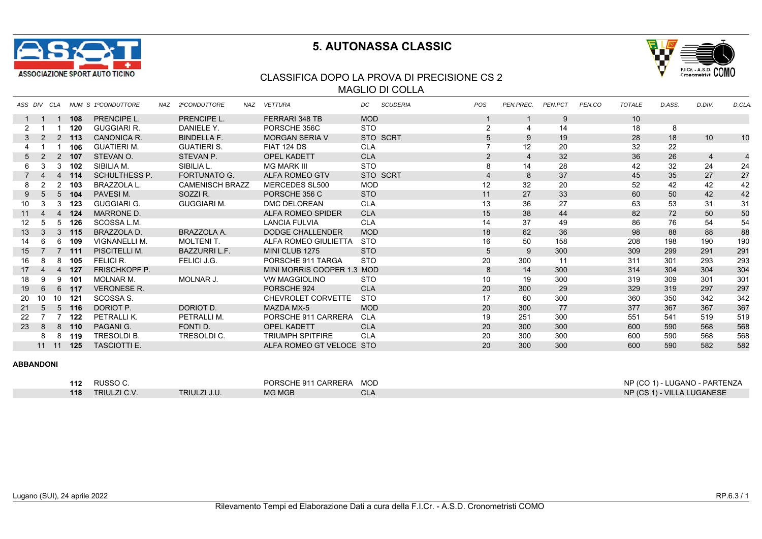



### CLASSIFICA DOPO LA PROVA DI PRECISIONE CS 2 MAGLIO DI COLLA

| ASS DIV         |                       | CLA            |        | NUM S 1ºCONDUTTORE   | NAZ | 2ºCONDUTTORE           | NAZ | <b>VETTURA</b>             | DC.        | <b>SCUDERIA</b> | POS             | PEN.PREC.       | <b>PEN.PCT</b> | PEN.CO | <b>TOTALE</b> | D.ASS. | D.DIV.         | D.CLA.         |
|-----------------|-----------------------|----------------|--------|----------------------|-----|------------------------|-----|----------------------------|------------|-----------------|-----------------|-----------------|----------------|--------|---------------|--------|----------------|----------------|
|                 |                       |                | 108    | <b>PRENCIPE L.</b>   |     | <b>PRENCIPE L.</b>     |     | <b>FERRARI 348 TB</b>      | <b>MOD</b> |                 |                 |                 | 9              |        | 10            |        |                |                |
| 2               |                       |                | 120    | <b>GUGGIARI R.</b>   |     | DANIELE Y.             |     | PORSCHE 356C               | <b>STO</b> |                 | 2               | 4               | 14             |        | 18            | 8      |                |                |
| 3               | 2                     |                | 2, 113 | CANONICA R.          |     | <b>BINDELLA F.</b>     |     | <b>MORGAN SERIA V</b>      |            | STO SCRT        | 5               | 9               | 19             |        | 28            | 18     | 10             | 10             |
|                 |                       |                | 106    | <b>GUATIERI M.</b>   |     | <b>GUATIERI S.</b>     |     | <b>FIAT 124 DS</b>         | <b>CLA</b> |                 |                 | 12 <sup>2</sup> | 20             |        | 32            | 22     |                |                |
| 5               | 2                     | 2              | 107    | STEVAN O.            |     | STEVAN P.              |     | <b>OPEL KADETT</b>         | <b>CLA</b> |                 | $\overline{2}$  | $\overline{4}$  | 32             |        | 36            | 26     | $\overline{4}$ | $\overline{4}$ |
| 6               | 3                     | 3              | 102    | SIBILIA M.           |     | SIBILIA L.             |     | <b>MG MARK III</b>         | <b>STO</b> |                 | 8               | 14              | 28             |        | 42            | 32     | 24             | 24             |
|                 |                       | 4              | 114    | <b>SCHULTHESS P.</b> |     | <b>FORTUNATO G.</b>    |     | <b>ALFA ROMEO GTV</b>      |            | STO SCRT        | $\overline{4}$  | 8               | 37             |        | 45            | 35     | 27             | 27             |
| 8               |                       | 2              | 103    | <b>BRAZZOLA L.</b>   |     | <b>CAMENISCH BRAZZ</b> |     | MERCEDES SL500             | <b>MOD</b> |                 | 12              | 32              | 20             |        | 52            | 42     | 42             | 42             |
| 9               | 5                     | 5              | 104    | PAVESIM.             |     | SOZZI R.               |     | PORSCHE 356 C              | <b>STO</b> |                 | 11              | 27              | 33             |        | 60            | 50     | 42             | 42             |
| 10              | 3                     | 3              | 123    | <b>GUGGIARI G.</b>   |     | <b>GUGGIARI M.</b>     |     | DMC DELOREAN               | <b>CLA</b> |                 | 13              | 36              | 27             |        | 63            | 53     | 31             | 31             |
| 11              | 4                     | $\overline{4}$ | 124    | <b>MARRONE D.</b>    |     |                        |     | ALFA ROMEO SPIDER          | <b>CLA</b> |                 | 15              | 38              | 44             |        | 82            | 72     | 50             | 50             |
| 12 <sup>2</sup> | 5                     | 5              | 126    | SCOSSA L.M.          |     |                        |     | <b>LANCIA FULVIA</b>       | <b>CLA</b> |                 | 14              | 37              | 49             |        | 86            | 76     | 54             | 54             |
| 13              | 3                     | 3              | 115    | BRAZZOLA D.          |     | BRAZZOLA A.            |     | DODGE CHALLENDER           | <b>MOD</b> |                 | 18              | 62              | 36             |        | 98            | 88     | 88             | 88             |
| 14              | 6                     | 6              | 109    | <b>VIGNANELLI M.</b> |     | <b>MOLTENIT.</b>       |     | ALFA ROMEO GIULIETTA       | <b>STO</b> |                 | 16              | 50              | 158            |        | 208           | 198    | 190            | 190            |
| 15              |                       | $\overline{7}$ | 111    | PISCITELLI M.        |     | <b>BAZZURRIL.F.</b>    |     | MINI CLUB 1275             | <b>STO</b> |                 | 5               | 9               | 300            |        | 309           | 299    | 291            | 291            |
| 16              | 8                     | 8              | 105    | FELICI R.            |     | FELICI J.G.            |     | PORSCHE 911 TARGA          | <b>STO</b> |                 | 20              | 300             | 11             |        | 311           | 301    | 293            | 293            |
| 17              | $\boldsymbol{\Delta}$ | 4              | 127    | <b>FRISCHKOPF P.</b> |     |                        |     | MINI MORRIS COOPER 1.3 MOD |            |                 | 8               | 14              | 300            |        | 314           | 304    | 304            | 304            |
| 18              | 9                     | 9              | 101    | <b>MOLNAR M.</b>     |     | MOLNAR J.              |     | <b>VW MAGGIOLINO</b>       | <b>STO</b> |                 | 10 <sup>1</sup> | 19              | 300            |        | 319           | 309    | 301            | 301            |
| 19              | 6                     | 6              | 117    | <b>VERONESE R.</b>   |     |                        |     | PORSCHE 924                | <b>CLA</b> |                 | 20              | 300             | 29             |        | 329           | 319    | 297            | 297            |
| 20              | 10                    | 10             | -121   | SCOSSA <sub>S</sub>  |     |                        |     | CHEVROLET CORVETTE         | <b>STO</b> |                 | 17              | 60              | 300            |        | 360           | 350    | 342            | 342            |
| 21              | 5                     | 5              | 116    | DORIOT P.            |     | DORIOT D.              |     | <b>MAZDA MX-5</b>          | <b>MOD</b> |                 | 20              | 300             | 77             |        | 377           | 367    | 367            | 367            |
| 22              |                       |                | 122    | PETRALLIK.           |     | PETRALLI M.            |     | PORSCHE 911 CARRERA        | <b>CLA</b> |                 | 19              | 251             | 300            |        | 551           | 541    | 519            | 519            |
| 23              | 8                     | 8              | 110    | PAGANI G.            |     | FONTI D.               |     | <b>OPEL KADETT</b>         | <b>CLA</b> |                 | 20              | 300             | 300            |        | 600           | 590    | 568            | 568            |
|                 | 8                     | 8              | 119    | <b>TRESOLDI B.</b>   |     | TRESOLDI C.            |     | <b>TRIUMPH SPITFIRE</b>    | <b>CLA</b> |                 | 20              | 300             | 300            |        | 600           | 590    | 568            | 568            |
|                 | $11 \quad 11$         |                | 125    | <b>TASCIOTTI E.</b>  |     |                        |     | ALFA ROMEO GT VELOCE STO   |            |                 | 20              | 300             | 300            |        | 600           | 590    | 582            | 582            |

| 112 | RUSSO <sub>C</sub>  |              | PORSCHE 911 CARRERA | <b>MOD</b> | NP (CO 1) - LUGANO - PARTENZA |
|-----|---------------------|--------------|---------------------|------------|-------------------------------|
| 118 | <b>TRIULZI C.V.</b> | TRIULZI J.U. | <b>MG MGB</b>       | CL/        | NP (CS 1) - VILLA LUGANESE    |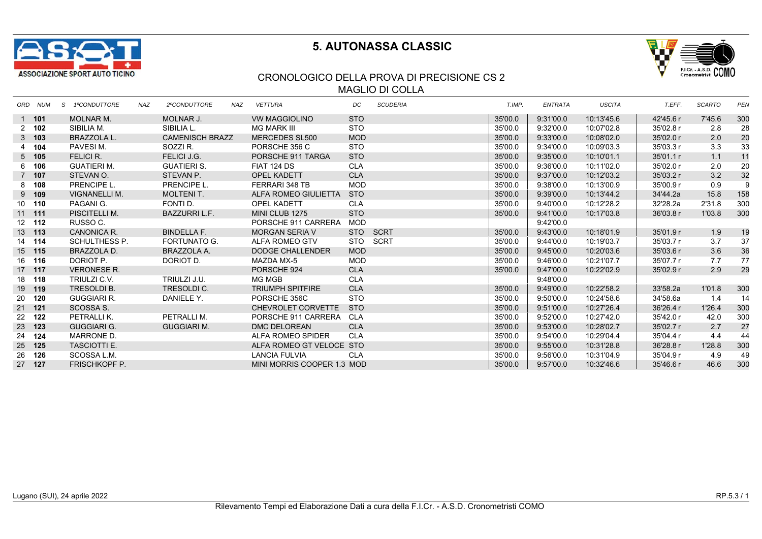



### CRONOLOGICO DELLA PROVA DI PRECISIONE CS 2 MAGLIO DI COLLA

| ORD NUM       | 1ºCONDUTTORE<br>S.   | <b>NAZ</b> | 2ºCONDUTTORE           | NAZ | <b>VETTURA</b>             | DC         | <b>SCUDERIA</b> | T.IMP.  | ENTRATA   | <b>USCITA</b> | T.EFF.    | <b>SCARTO</b> | <b>PEN</b> |
|---------------|----------------------|------------|------------------------|-----|----------------------------|------------|-----------------|---------|-----------|---------------|-----------|---------------|------------|
| 1 101         | <b>MOLNAR M.</b>     |            | MOLNAR J.              |     | <b>VW MAGGIOLINO</b>       | <b>STO</b> |                 | 35'00.0 | 9:31'00.0 | 10:13'45.6    | 42'45.6 r | 7'45.6        | 300        |
| $2 \quad 102$ | SIBILIA M.           |            | SIBILIA L.             |     | MG MARK III                | <b>STO</b> |                 | 35'00.0 | 9:32'00.0 | 10:07'02.8    | 35'02.8 r | 2.8           | 28         |
| $3$ 103       | <b>BRAZZOLA L.</b>   |            | <b>CAMENISCH BRAZZ</b> |     | <b>MERCEDES SL500</b>      | <b>MOD</b> |                 | 35'00.0 | 9:33'00.0 | 10:08'02.0    | 35'02.0 r | 2.0           | 20         |
| 4 104         | PAVESIM.             |            | SOZZI R.               |     | PORSCHE 356 C              | <b>STO</b> |                 | 35'00.0 | 9:34'00.0 | 10:09'03.3    | 35'03.3 r | 3.3           | 33         |
| $5$ 105       | FELICI R.            |            | FELICI J.G.            |     | PORSCHE 911 TARGA          | <b>STO</b> |                 | 35'00.0 | 9:35'00.0 | 10:10'01.1    | 35'01.1 r | 1.1           | 11         |
| 6 106         | GUATIERI M.          |            | <b>GUATIERI S.</b>     |     | <b>FIAT 124 DS</b>         | <b>CLA</b> |                 | 35'00.0 | 9:36'00.0 | 10:11'02.0    | 35'02.0r  | 2.0           | 20         |
| 7 107         | STEVAN O.            |            | STEVAN P.              |     | <b>OPEL KADETT</b>         | <b>CLA</b> |                 | 35'00.0 | 9:37'00.0 | 10:12'03.2    | 35'03.2 r | 3.2           | 32         |
| 8 108         | PRENCIPE L.          |            | PRENCIPE L.            |     | FERRARI 348 TB             | <b>MOD</b> |                 | 35'00.0 | 9:38'00.0 | 10:13'00.9    | 35'00.9r  | 0.9           | 9          |
| $9$ 109       | <b>VIGNANELLI M.</b> |            | <b>MOLTENIT.</b>       |     | ALFA ROMEO GIULIETTA       | <b>STO</b> |                 | 35'00.0 | 9:39'00.0 | 10:13'44.2    | 34'44.2a  | 15.8          | 158        |
| 10 110        | PAGANI G.            |            | FONTI D.               |     | <b>OPEL KADETT</b>         | <b>CLA</b> |                 | 35'00.0 | 9:40'00.0 | 10:12'28.2    | 32'28.2a  | 2'31.8        | 300        |
| $11$ 111      | PISCITELLI M.        |            | <b>BAZZURRI L.F.</b>   |     | MINI CLUB 1275             | <b>STO</b> |                 | 35'00.0 | 9:41'00.0 | 10:17'03.8    | 36'03.8 r | 1'03.8        | 300        |
| 12 112        | RUSSO C.             |            |                        |     | PORSCHE 911 CARRERA        | MOD        |                 |         | 9:42'00.0 |               |           |               |            |
| 13 113        | CANONICA R.          |            | <b>BINDELLA F.</b>     |     | <b>MORGAN SERIA V</b>      | <b>STO</b> | SCRT            | 35'00.0 | 9:43'00.0 | 10:18'01.9    | 35'01.9 r | 1.9           | 19         |
| 14 114        | SCHULTHESS P.        |            | FORTUNATO G.           |     | ALFA ROMEO GTV             |            | STO SCRT        | 35'00.0 | 9:44'00.0 | 10:19'03.7    | 35'03.7r  | 3.7           | 37         |
| 15 115        | BRAZZOLA D.          |            | BRAZZOLA A.            |     | <b>DODGE CHALLENDER</b>    | <b>MOD</b> |                 | 35'00.0 | 9:45'00.0 | 10:20'03.6    | 35'03.6 r | 3.6           | 36         |
| 16 116        | DORIOT P.            |            | DORIOT D.              |     | MAZDA MX-5                 | <b>MOD</b> |                 | 35'00.0 | 9:46'00.0 | 10:21'07.7    | 35'07.7 r | 7.7           | 77         |
| 17 117        | <b>VERONESE R.</b>   |            |                        |     | PORSCHE 924                | <b>CLA</b> |                 | 35'00.0 | 9:47'00.0 | 10:22'02.9    | 35'02.9 r | 2.9           | 29         |
| 18 118        | TRIULZI C.V.         |            | TRIULZI J.U.           |     | MG MGB                     | <b>CLA</b> |                 |         | 9:48'00.0 |               |           |               |            |
| 19 119        | <b>TRESOLDI B.</b>   |            | <b>TRESOLDIC.</b>      |     | <b>TRIUMPH SPITFIRE</b>    | <b>CLA</b> |                 | 35'00.0 | 9:49'00.0 | 10:22'58.2    | 33'58.2a  | 1'01.8        | 300        |
| 20 120        | <b>GUGGIARI R.</b>   |            | DANIELE Y.             |     | PORSCHE 356C               | <b>STO</b> |                 | 35'00.0 | 9:50'00.0 | 10:24'58.6    | 34'58.6a  | 1.4           | 14         |
| 21 121        | SCOSSA S.            |            |                        |     | CHEVROLET CORVETTE         | <b>STO</b> |                 | 35'00.0 | 9:51'00.0 | 10:27'26.4    | 36'26.4 r | 1'26.4        | 300        |
| 22 122        | PETRALLIK.           |            | PETRALLI M.            |     | PORSCHE 911 CARRERA        | CLA        |                 | 35'00.0 | 9:52'00.0 | 10:27'42.0    | 35'42.0 r | 42.0          | 300        |
| 23 123        | <b>GUGGIARI G.</b>   |            | <b>GUGGIARI M.</b>     |     | <b>DMC DELOREAN</b>        | <b>CLA</b> |                 | 35'00.0 | 9:53'00.0 | 10:28'02.7    | 35'02.7 r | 2.7           | 27         |
| 24 124        | MARRONE D.           |            |                        |     | ALFA ROMEO SPIDER          | <b>CLA</b> |                 | 35'00.0 | 9:54'00.0 | 10:29'04.4    | 35'04.4 r | 4.4           | 44         |
| 25 125        | <b>TASCIOTTI E.</b>  |            |                        |     | ALFA ROMEO GT VELOCE STO   |            |                 | 35'00.0 | 9:55'00.0 | 10:31'28.8    | 36'28.8 r | 1'28.8        | 300        |
| 26 126        | SCOSSA L.M.          |            |                        |     | <b>LANCIA FULVIA</b>       | CLA        |                 | 35'00.0 | 9:56'00.0 | 10:31'04.9    | 35'04.9 r | 4.9           | 49         |
| 27 127        | <b>FRISCHKOPF P.</b> |            |                        |     | MINI MORRIS COOPER 1.3 MOD |            |                 | 35'00.0 | 9:57'00.0 | 10:32'46.6    | 35'46.6 r | 46.6          | 300        |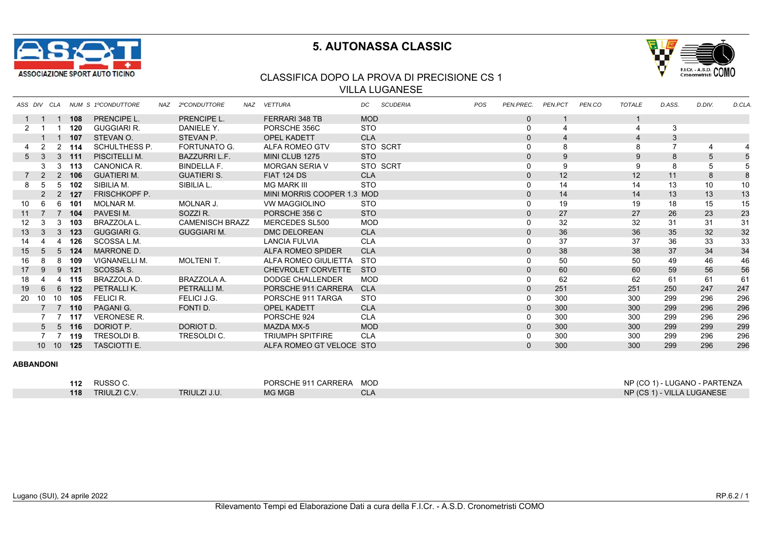



### CLASSIFICA DOPO LA PROVA DI PRECISIONE CS 1 VILLA LUGANESE

|                 | ASS DIV CLA     |                |                 | <b>NUM S 1ºCONDUTTORE</b> | NAZ 2ºCONDUTTORE       | NAZ | <b>VETTURA</b>             | DC.        | <b>SCUDERIA</b> | <b>POS</b> | PEN.PREC.    | PEN.PCT | PEN.CO | <b>TOTALE</b> | D.ASS. | D.DIV. | D.CLA |
|-----------------|-----------------|----------------|-----------------|---------------------------|------------------------|-----|----------------------------|------------|-----------------|------------|--------------|---------|--------|---------------|--------|--------|-------|
|                 |                 |                | 108             | <b>PRENCIPE L.</b>        | <b>PRENCIPE L.</b>     |     | FERRARI 348 TB             | <b>MOD</b> |                 |            | $\mathbf{0}$ |         |        |               |        |        |       |
| 2               |                 |                | 120             | <b>GUGGIARI R.</b>        | DANIELE Y.             |     | PORSCHE 356C               | <b>STO</b> |                 |            | 0            |         |        |               |        |        |       |
|                 |                 | $\overline{1}$ | 107             | STEVAN O.                 | STEVAN P.              |     | <b>OPEL KADETT</b>         | <b>CLA</b> |                 |            | $\mathbf 0$  |         |        |               | 3      |        |       |
|                 | $\mathcal{P}$   | $2^{\circ}$    | 114             | <b>SCHULTHESS P.</b>      | <b>FORTUNATO G.</b>    |     | ALFA ROMEO GTV             |            | STO SCRT        |            | 0            |         |        |               |        |        |       |
| 5 <sup>5</sup>  |                 |                | 3, 111          | PISCITELLI M.             | <b>BAZZURRIL.F.</b>    |     | MINI CLUB 1275             | <b>STO</b> |                 |            | $\mathbf{0}$ | 9       |        | 9             | 8      |        |       |
|                 | 3               |                | 3, 113          | CANONICA R.               | <b>BINDELLA F.</b>     |     | <b>MORGAN SERIA V</b>      |            | STO SCRT        |            | 0            | 9       |        | 9             | 8      | 5      |       |
| $7^{\circ}$     |                 |                | 2 106           | <b>GUATIERI M.</b>        | <b>GUATIERI S.</b>     |     | <b>FIAT 124 DS</b>         | <b>CLA</b> |                 |            | $\mathbf 0$  | 12      |        | 12            | 11     | 8      |       |
| 8               | .5              | 5              | - 102           | SIBILIA M.                | SIBILIA L.             |     | <b>MG MARK III</b>         | <b>STO</b> |                 |            | 0            | 14      |        | 14            | 13     | 10     | 10    |
|                 |                 |                | 2, 127          | <b>FRISCHKOPF P.</b>      |                        |     | MINI MORRIS COOPER 1.3 MOD |            |                 |            | $\mathbf 0$  | 14      |        | 14            | 13     | 13     | 13    |
| 10              | 6               | 6              | 101             | <b>MOLNAR M.</b>          | MOLNAR J.              |     | <b>VW MAGGIOLINO</b>       | <b>STO</b> |                 |            | 0            | 19      |        | 19            | 18     | 15     | 15    |
| 11              |                 |                | 7 104           | PAVESIM.                  | SOZZI R.               |     | PORSCHE 356 C              | <b>STO</b> |                 |            | $\mathbf 0$  | 27      |        | 27            | 26     | 23     | 23    |
| 12 <sup>2</sup> |                 | 3              | 103             | <b>BRAZZOLA L.</b>        | <b>CAMENISCH BRAZZ</b> |     | MERCEDES SL500             | MOD        |                 |            | 0            | 32      |        | 32            | 31     | 31     | 31    |
| 13              |                 | 3 <sup>1</sup> | 123             | <b>GUGGIARI G.</b>        | <b>GUGGIARI M.</b>     |     | <b>DMC DELOREAN</b>        | <b>CLA</b> |                 |            | $\mathbf 0$  | 36      |        | 36            | 35     | 32     | 32    |
| 14              |                 |                | 126             | SCOSSA L.M.               |                        |     | <b>LANCIA FULVIA</b>       | <b>CLA</b> |                 |            | $\mathbf 0$  | 37      |        | 37            | 36     | 33     | 33    |
| 15              |                 | $5^{\circ}$    | 124             | MARRONE D.                |                        |     | <b>ALFA ROMEO SPIDER</b>   | <b>CLA</b> |                 |            | $\mathbf{0}$ | 38      |        | 38            | 37     | 34     | 34    |
| 16              |                 | 8              | 109             | VIGNANELLI M.             | <b>MOLTENIT.</b>       |     | ALFA ROMEO GIULIETTA       | <b>STO</b> |                 |            | 0            | 50      |        | 50            | 49     | 46     | 46    |
| 17              | 9               | 9              | 121             | SCOSSA S.                 |                        |     | CHEVROLET CORVETTE         | <b>STO</b> |                 |            | $\mathbf 0$  | 60      |        | 60            | 59     | 56     | 56    |
| 18              |                 |                | 115             | BRAZZOLA D.               | BRAZZOLA A.            |     | DODGE CHALLENDER           | <b>MOD</b> |                 |            | 0            | 62      |        | 62            | 61     | 61     | 61    |
| 19              | 6               | 6              | 122             | PETRALLIK.                | PETRALLI M.            |     | PORSCHE 911 CARRERA        | <b>CLA</b> |                 |            | $\mathbf{0}$ | 251     |        | 251           | 250    | 247    | 247   |
| 20              | 10              | 10             | 105             | FELICI R.                 | FELICI J.G.            |     | PORSCHE 911 TARGA          | <b>STO</b> |                 |            | 0            | 300     |        | 300           | 299    | 296    | 296   |
|                 |                 |                | $7 \t 7 \t 110$ | PAGANI G.                 | FONTI D.               |     | <b>OPEL KADETT</b>         | <b>CLA</b> |                 |            | $\mathbf{0}$ | 300     |        | 300           | 299    | 296    | 296   |
|                 |                 |                | 117             | <b>VERONESE R.</b>        |                        |     | PORSCHE 924                | <b>CLA</b> |                 |            | 0            | 300     |        | 300           | 299    | 296    | 296   |
|                 | 5 <sub>5</sub>  |                | $5$ 116         | DORIOT P.                 | DORIOT D.              |     | <b>MAZDA MX-5</b>          | <b>MOD</b> |                 |            | $\mathbf 0$  | 300     |        | 300           | 299    | 299    | 299   |
|                 |                 |                | 119             | <b>TRESOLDI B.</b>        | TRESOLDI C.            |     | <b>TRIUMPH SPITFIRE</b>    | <b>CLA</b> |                 |            | 0            | 300     |        | 300           | 299    | 296    | 296   |
|                 | 10 <sup>1</sup> | 10             | 125             | <b>TASCIOTTI E.</b>       |                        |     | ALFA ROMEO GT VELOCE STO   |            |                 |            | $\Omega$     | 300     |        | 300           | 299    | 296    | 296   |

| 112 | RUSSO C.            |              | PORSCHE 911 CARRERA | <b>MOD</b> | $NP (CO 1) -$<br>∟UGANO<br>, - PARTENZA |
|-----|---------------------|--------------|---------------------|------------|-----------------------------------------|
| 118 | <b>TRIULZI C.V.</b> | TRIULZI J.U. | <b>MG MGB</b>       |            | NP (CS 1) - VILLA LUGANESE              |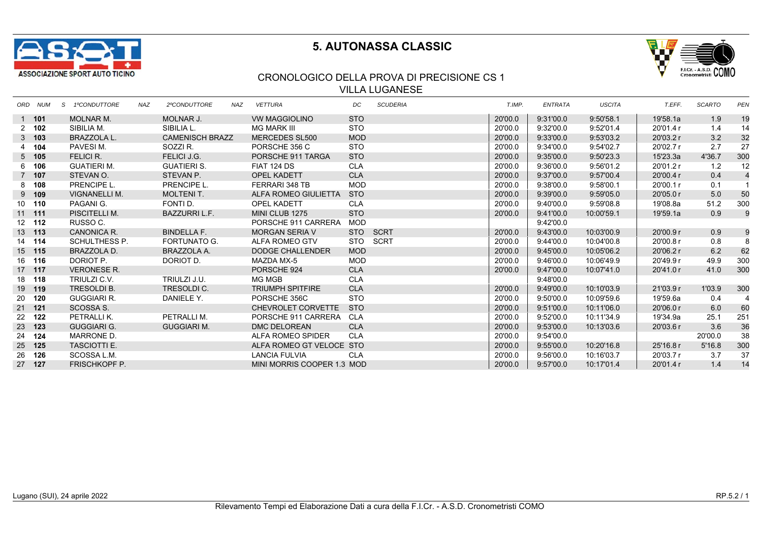



### CRONOLOGICO DELLA PROVA DI PRECISIONE CS 1 VILLA LUGANESE

| ORD NUM       | S 1ºCONDUTTORE       | <b>NAZ</b> | 2ºCONDUTTORE           | NAZ | <b>VETTURA</b>             | DC         | <b>SCUDERIA</b> | T.IMP.  | <b>ENTRATA</b> | <b>USCITA</b> | T.EFF.    | <b>SCARTO</b> | <b>PEN</b>     |
|---------------|----------------------|------------|------------------------|-----|----------------------------|------------|-----------------|---------|----------------|---------------|-----------|---------------|----------------|
| 1 101         | <b>MOLNAR M.</b>     |            | MOLNAR J.              |     | <b>VW MAGGIOLINO</b>       | <b>STO</b> |                 | 20'00.0 | 9:31'00.0      | 9:50'58.1     | 19'58.1a  | 1.9           | 19             |
| $2 \quad 102$ | SIBILIA M.           |            | SIBILIA L.             |     | MG MARK III                | <b>STO</b> |                 | 20'00.0 | 9:32'00.0      | 9:52'01.4     | 20'01.4 r | 1.4           | 14             |
| $3$ 103       | <b>BRAZZOLA L.</b>   |            | <b>CAMENISCH BRAZZ</b> |     | <b>MERCEDES SL500</b>      | <b>MOD</b> |                 | 20'00.0 | 9:33'00.0      | 9:53'03.2     | 20'03.2 r | 3.2           | 32             |
| 4 104         | PAVESIM.             |            | SOZZIR.                |     | PORSCHE 356 C              | <b>STO</b> |                 | 20'00.0 | 9:34'00.0      | 9:54'02.7     | 20'02.7 r | 2.7           | 27             |
| $5$ 105       | FELICI R.            |            | FELICI J.G.            |     | PORSCHE 911 TARGA          | <b>STO</b> |                 | 20'00.0 | 9:35'00.0      | 9:50'23.3     | 15'23.3a  | 4'36.7        | 300            |
| 6 106         | <b>GUATIERI M.</b>   |            | <b>GUATIERI S.</b>     |     | FIAT 124 DS                | <b>CLA</b> |                 | 20'00.0 | 9:36'00.0      | 9:56'01.2     | 20'01.2 r | 1.2           | 12             |
| 7 107         | STEVAN O.            |            | STEVAN P.              |     | <b>OPEL KADETT</b>         | <b>CLA</b> |                 | 20'00.0 | 9:37'00.0      | 9:57'00.4     | 20'00.4 r | 0.4           | $\overline{4}$ |
| 8 108         | PRENCIPE L.          |            | PRENCIPE L.            |     | FERRARI 348 TB             | MOD        |                 | 20'00.0 | 9:38'00.0      | 9:58'00.1     | 20'00.1 r | 0.1           | $\mathbf{1}$   |
| $9$ 109       | VIGNANELLI M.        |            | <b>MOLTENIT.</b>       |     | ALFA ROMEO GIULIETTA       | <b>STO</b> |                 | 20'00.0 | 9:39'00.0      | 9:59'05.0     | 20'05.0r  | 5.0           | 50             |
| 10 110        | PAGANI G.            |            | FONTI D.               |     | <b>OPEL KADETT</b>         | <b>CLA</b> |                 | 20'00.0 | 9:40'00.0      | 9:59'08.8     | 19'08.8a  | 51.2          | 300            |
| $11$ 111      | PISCITELLI M.        |            | <b>BAZZURRI L.F.</b>   |     | MINI CLUB 1275             | <b>STO</b> |                 | 20'00.0 | 9:41'00.0      | 10:00'59.1    | 19'59.1a  | 0.9           | 9              |
| 12 112        | RUSSO C.             |            |                        |     | PORSCHE 911 CARRERA        | MOD        |                 |         | 9:42'00.0      |               |           |               |                |
| 13 113        | CANONICA R.          |            | <b>BINDELLA F.</b>     |     | <b>MORGAN SERIA V</b>      | <b>STO</b> | SCRT            | 20'00.0 | 9:43'00.0      | 10:03'00.9    | 20'00.9 r | 0.9           | 9              |
| 14 114        | SCHULTHESS P.        |            | <b>FORTUNATO G.</b>    |     | ALFA ROMEO GTV             |            | STO SCRT        | 20'00.0 | 9:44'00.0      | 10:04'00.8    | 20'00.8 r | 0.8           | 8              |
| 15 115        | BRAZZOLA D.          |            | BRAZZOLA A.            |     | <b>DODGE CHALLENDER</b>    | <b>MOD</b> |                 | 20'00.0 | 9:45'00.0      | 10:05'06.2    | 20'06.2 r | 6.2           | 62             |
| 16 116        | DORIOT P.            |            | DORIOT D.              |     | MAZDA MX-5                 | <b>MOD</b> |                 | 20'00.0 | 9:46'00.0      | 10:06'49.9    | 20'49.9 r | 49.9          | 300            |
| 17 117        | <b>VERONESE R.</b>   |            |                        |     | PORSCHE 924                | <b>CLA</b> |                 | 20'00.0 | 9:47'00.0      | 10:07'41.0    | 20'41.0r  | 41.0          | 300            |
| 18 118        | TRIULZI C.V.         |            | TRIULZI J.U.           |     | MG MGB                     | <b>CLA</b> |                 |         | 9:48'00.0      |               |           |               |                |
| 19 119        | TRESOLDI B.          |            | TRESOLDI C.            |     | <b>TRIUMPH SPITFIRE</b>    | <b>CLA</b> |                 | 20'00.0 | 9:49'00.0      | 10:10'03.9    | 21'03.9 r | 1'03.9        | 300            |
| 20 120        | <b>GUGGIARI R.</b>   |            | DANIELE Y.             |     | PORSCHE 356C               | <b>STO</b> |                 | 20'00.0 | 9:50'00.0      | 10:09'59.6    | 19'59.6a  | 0.4           | 4              |
| 21 121        | SCOSSA S.            |            |                        |     | CHEVROLET CORVETTE         | <b>STO</b> |                 | 20'00.0 | 9:51'00.0      | 10:11'06.0    | 20'06.0r  | 6.0           | 60             |
| 22 122        | PETRALLIK.           |            | PETRALLI M.            |     | PORSCHE 911 CARRERA        | CLA        |                 | 20'00.0 | 9:52'00.0      | 10:11'34.9    | 19'34.9a  | 25.1          | 251            |
| 23 123        | <b>GUGGIARI G.</b>   |            | <b>GUGGIARI M.</b>     |     | <b>DMC DELOREAN</b>        | <b>CLA</b> |                 | 20'00.0 | 9:53'00.0      | 10:13'03.6    | 20'03.6 r | 3.6           | 36             |
| 24 124        | MARRONE D.           |            |                        |     | ALFA ROMEO SPIDER          | <b>CLA</b> |                 | 20'00.0 | 9:54'00.0      |               |           | 20'00.0       | 38             |
| 25 125        | <b>TASCIOTTI E.</b>  |            |                        |     | ALFA ROMEO GT VELOCE STO   |            |                 | 20'00.0 | 9:55'00.0      | 10:20'16.8    | 25'16.8 r | 5'16.8        | 300            |
| 26 126        | SCOSSA L.M.          |            |                        |     | <b>LANCIA FULVIA</b>       | <b>CLA</b> |                 | 20'00.0 | 9:56'00.0      | 10:16'03.7    | 20'03.7 r | 3.7           | 37             |
| 27 127        | <b>FRISCHKOPF P.</b> |            |                        |     | MINI MORRIS COOPER 1.3 MOD |            |                 | 20'00.0 | 9:57'00.0      | 10:17'01.4    | 20'01.4 r | 1.4           | 14             |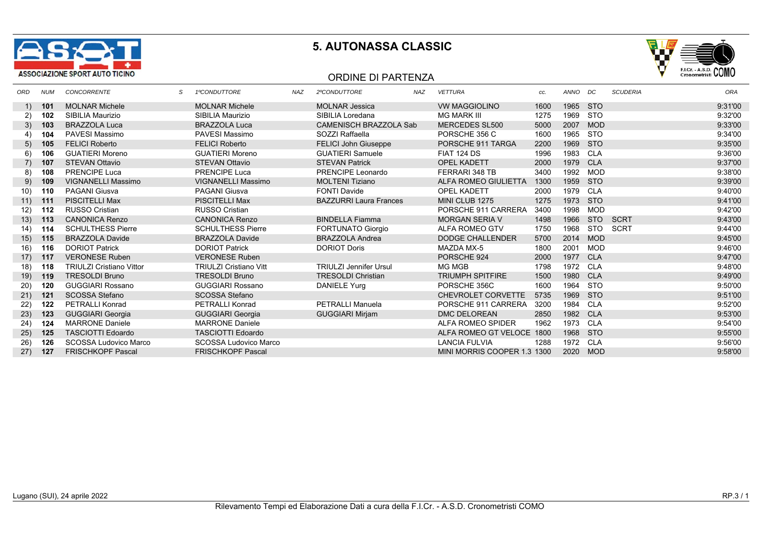



#### ORDINE DI PARTENZA

| ORD  | <b>NUM</b> | <b>CONCORRENTE</b>              | 1ºCONDUTTORE                  | NAZ | 2ºCONDUTTORE                  | <b>NAZ</b> | <b>VETTURA</b>              | CC.  | ANNO     | DC         | <b>SCUDERIA</b> | ORA     |
|------|------------|---------------------------------|-------------------------------|-----|-------------------------------|------------|-----------------------------|------|----------|------------|-----------------|---------|
| 1)   | 101        | <b>MOLNAR Michele</b>           | <b>MOLNAR Michele</b>         |     | <b>MOLNAR Jessica</b>         |            | <b>VW MAGGIOLINO</b>        | 1600 | 1965 STO |            |                 | 9:31'00 |
| 2)   | 102        | SIBILIA Maurizio                | SIBILIA Maurizio              |     | SIBILIA Loredana              |            | <b>MG MARK III</b>          | 1275 | 1969     | <b>STO</b> |                 | 9:32'00 |
| 3)   | 103        | <b>BRAZZOLA Luca</b>            | <b>BRAZZOLA Luca</b>          |     | CAMENISCH BRAZZOLA Sab        |            | MERCEDES SL500              | 5000 | 2007     | <b>MOD</b> |                 | 9:33'00 |
| 4)   | 104        | PAVESI Massimo                  | <b>PAVESI Massimo</b>         |     | SOZZI Raffaella               |            | PORSCHE 356 C               | 1600 | 1965     | STO        |                 | 9:34'00 |
| 5)   | 105        | <b>FELICI Roberto</b>           | <b>FELICI Roberto</b>         |     | <b>FELICI John Giuseppe</b>   |            | PORSCHE 911 TARGA           | 2200 | 1969     | <b>STO</b> |                 | 9:35'00 |
| 6)   | 106        | <b>GUATIERI Moreno</b>          | <b>GUATIERI Moreno</b>        |     | <b>GUATIERI Samuele</b>       |            | <b>FIAT 124 DS</b>          | 1996 | 1983     | <b>CLA</b> |                 | 9:36'00 |
| 7)   | 107        | <b>STEVAN Ottavio</b>           | <b>STEVAN Ottavio</b>         |     | <b>STEVAN Patrick</b>         |            | <b>OPEL KADETT</b>          | 2000 | 1979     | <b>CLA</b> |                 | 9:37'00 |
| 8)   | 108        | <b>PRENCIPE Luca</b>            | <b>PRENCIPE Luca</b>          |     | PRENCIPE Leonardo             |            | FERRARI 348 TB              | 3400 | 1992     | <b>MOD</b> |                 | 9:38'00 |
| 9)   | 109        | <b>VIGNANELLI Massimo</b>       | <b>VIGNANELLI Massimo</b>     |     | <b>MOLTENI Tiziano</b>        |            | ALFA ROMEO GIULIETTA        | 1300 | 1959     | <b>STO</b> |                 | 9:39'00 |
| 10)  | 110        | <b>PAGANI Giusva</b>            | <b>PAGANI Giusva</b>          |     | <b>FONTI Davide</b>           |            | <b>OPEL KADETT</b>          | 2000 | 1979     | <b>CLA</b> |                 | 9:40'00 |
| 11)  | 111        | <b>PISCITELLI Max</b>           | <b>PISCITELLI Max</b>         |     | <b>BAZZURRI Laura Frances</b> |            | MINI CLUB 1275              | 1275 | 1973     | <b>STO</b> |                 | 9:41'00 |
| 12)  | 112        | <b>RUSSO Cristian</b>           | <b>RUSSO Cristian</b>         |     |                               |            | PORSCHE 911 CARRERA         | 3400 | 1998     | <b>MOD</b> |                 | 9:42'00 |
| 13)  | 113        | <b>CANONICA Renzo</b>           | <b>CANONICA Renzo</b>         |     | <b>BINDELLA Fiamma</b>        |            | <b>MORGAN SERIA V</b>       | 1498 | 1966     | <b>STO</b> | <b>SCRT</b>     | 9:43'00 |
| (14) | 114        | <b>SCHULTHESS Pierre</b>        | <b>SCHULTHESS Pierre</b>      |     | <b>FORTUNATO Giorgio</b>      |            | ALFA ROMEO GTV              | 1750 | 1968     | STO        | SCRT            | 9:44'00 |
| 15)  | 115        | <b>BRAZZOLA Davide</b>          | <b>BRAZZOLA Davide</b>        |     | <b>BRAZZOLA Andrea</b>        |            | DODGE CHALLENDER            | 5700 | 2014     | <b>MOD</b> |                 | 9:45'00 |
| 16)  | 116        | <b>DORIOT Patrick</b>           | <b>DORIOT Patrick</b>         |     | <b>DORIOT Doris</b>           |            | MAZDA MX-5                  | 1800 | 2001     | <b>MOD</b> |                 | 9:46'00 |
| 17)  | 117        | <b>VERONESE Ruben</b>           | <b>VERONESE Ruben</b>         |     |                               |            | PORSCHE 924                 | 2000 | 1977     | <b>CLA</b> |                 | 9:47'00 |
| 18)  | 118        | <b>TRIULZI Cristiano Vittor</b> | <b>TRIULZI Cristiano Vitt</b> |     | <b>TRIULZI Jennifer Ursul</b> |            | MG MGB                      | 1798 | 1972     | CLA        |                 | 9:48'00 |
| 19)  | 119        | <b>TRESOLDI Bruno</b>           | <b>TRESOLDI Bruno</b>         |     | <b>TRESOLDI Christian</b>     |            | <b>TRIUMPH SPITFIRE</b>     | 1500 | 1980     | <b>CLA</b> |                 | 9:49'00 |
| 20)  | 120        | <b>GUGGIARI Rossano</b>         | <b>GUGGIARI Rossano</b>       |     | DANIELE Yurg                  |            | PORSCHE 356C                | 1600 | 1964     | <b>STO</b> |                 | 9:50'00 |
| 21)  | 121        | <b>SCOSSA Stefano</b>           | <b>SCOSSA Stefano</b>         |     |                               |            | CHEVROLET CORVETTE          | 5735 | 1969     | <b>STO</b> |                 | 9:51'00 |
| 22)  | 122        | <b>PETRALLI Konrad</b>          | <b>PETRALLI Konrad</b>        |     | <b>PETRALLI Manuela</b>       |            | PORSCHE 911 CARRERA         | 3200 | 1984     | <b>CLA</b> |                 | 9:52'00 |
| 23)  | 123        | <b>GUGGIARI Georgia</b>         | <b>GUGGIARI Georgia</b>       |     | <b>GUGGIARI Mirjam</b>        |            | <b>DMC DELOREAN</b>         | 2850 | 1982     | <b>CLA</b> |                 | 9:53'00 |
| 24)  | 124        | <b>MARRONE Daniele</b>          | <b>MARRONE Daniele</b>        |     |                               |            | ALFA ROMEO SPIDER           | 1962 | 1973     | <b>CLA</b> |                 | 9:54'00 |
| 25)  | 125        | <b>TASCIOTTI Edoardo</b>        | <b>TASCIOTTI Edoardo</b>      |     |                               |            | ALFA ROMEO GT VELOCE 1800   |      | 1968     | <b>STO</b> |                 | 9:55'00 |
| 26)  | 126        | <b>SCOSSA Ludovico Marco</b>    | <b>SCOSSA Ludovico Marco</b>  |     |                               |            | <b>LANCIA FULVIA</b>        | 1288 | 1972     | CLA        |                 | 9:56'00 |
| 27)  | 127        | <b>FRISCHKOPF Pascal</b>        | <b>FRISCHKOPF Pascal</b>      |     |                               |            | MINI MORRIS COOPER 1.3 1300 |      | 2020     | <b>MOD</b> |                 | 9:58'00 |